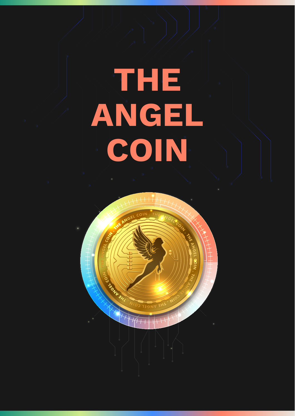# **THE ANGEL COIN**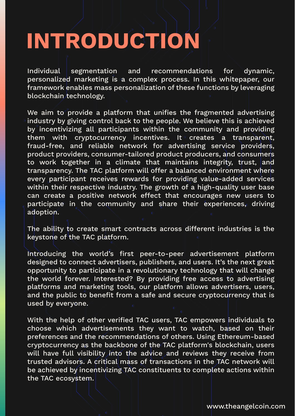### **INTRODUCTION**

Individual segmentation and recommendations for dynamic, personalized marketing is a complex process. In this whitepaper, our framework enables mass personalization of these functions by leveraging blockchain technology.

We aim to provide a platform that unifies the fragmented advertising industry by giving control back to the people. We believe this is achieved by incentivizing all participants within the community and providing them with cryptocurrency incentives. It creates a transparent, fraud-free, and reliable network for advertising service providers, product providers, consumer-tailored product producers, and consumers to work together in a climate that maintains integrity, trust, and transparency. The TAC platform will offer a balanced environment where every participant receives rewards for providing value-added services within their respective industry. The growth of a high-quality user base can create a positive network effect that encourages new users to participate in the community and share their experiences, driving adoption.

The ability to create smart contracts across different industries is the keystone of the TAC platform.

Introducing the world's first peer-to-peer advertisement platform designed to connect advertisers, publishers, and users. It's the next great opportunity to participate in a revolutionary technology that will change the world forever. Interested? By providing free access to advertising platforms and marketing tools, our platform allows advertisers, users, and the public to benefit from a safe and secure cryptocurrency that is used by everyone.

With the help of other verified TAC users, TAC empowers individuals to choose which advertisements they want to watch, based on their preferences and the recommendations of others. Using Ethereum-based cryptocurrency as the backbone of the TAC platform's blockchain, users will have full visibility into the advice and reviews they receive from trusted advisors. A critical mass of transactions in the TAC network will be achieved by incentivizing TAC constituents to complete actions within the TAC ecosystem.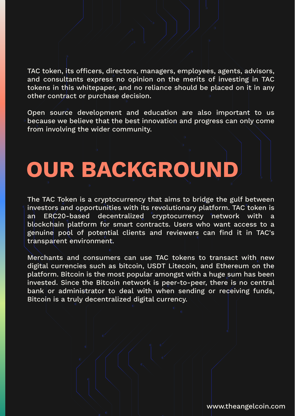TAC token, its officers, directors, managers, employees, agents, advisors, and consultants express no opinion on the merits of investing in TAC tokens in this whitepaper, and no reliance should be placed on it in any other contract or purchase decision.

Open source development and education are also important to us because we believe that the best innovation and progress can only come from involving the wider community.

## **OUR BACKGROUND**

The TAC Token is a cryptocurrency that aims to bridge the gulf between investors and opportunities with its revolutionary platform. TAC token is an ERC20-based decentralized cryptocurrency network with a blockchain platform for smart contracts. Users who want access to a genuine pool of potential clients and reviewers can find it in TAC's transparent environment.

Merchants and consumers can use TAC tokens to transact with new digital currencies such as bitcoin, USDT Litecoin, and Ethereum on the platform. Bitcoin is the most popular amongst with a huge sum has been invested. Since the Bitcoin network is peer-to-peer, there is no central bank or administrator to deal with when sending or receiving funds, Bitcoin is a truly decentralized digital currency.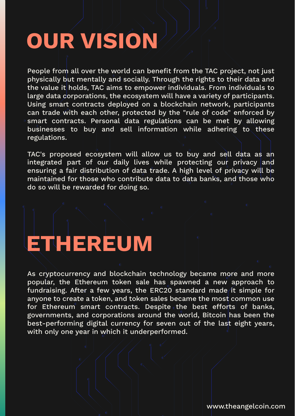### **OUR VISION**

People from all over the world can benefit from the TAC project, not just physically but mentally and socially. Through the rights to their data and the value it holds, TAC aims to empower individuals. From individuals to large data corporations, the ecosystem will have a variety of participants. Using smart contracts deployed on a blockchain network, participants can trade with each other, protected by the "rule of code" enforced by smart contracts. Personal data regulations can be met by allowing businesses to buy and sell information while adhering to these regulations.

TAC's proposed ecosystem will allow us to buy and sell data as an integrated part of our daily lives while protecting our privacy and ensuring a fair distribution of data trade. A high level of privacy will be maintained for those who contribute data to data banks, and those who do so will be rewarded for doing so.

### **ETHEREUM**

As cryptocurrency and blockchain technology became more and more popular, the Ethereum token sale has spawned a new approach to fundraising. After a few years, the ERC20 standard made it simple for anyone to create a token, and token sales became the most common use for Ethereum smart contracts. Despite the best efforts of banks, governments, and corporations around the world, Bitcoin has been the best-performing digital currency for seven out of the last eight years, with only one year in which it underperformed.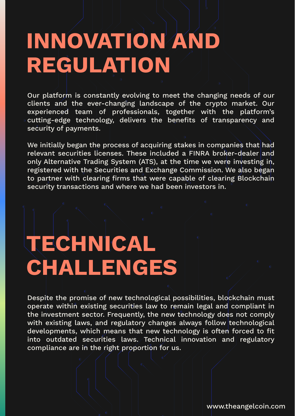#### **INNOVATION AND REGULATION**

Our platform is constantly evolving to meet the changing needs of our clients and the ever-changing landscape of the crypto market. Our experienced team of professionals, together with the platform's cutting-edge technology, delivers the benefits of transparency and security of payments.

We initially began the process of acquiring stakes in companies that had relevant securities licenses. These included a FINRA broker-dealer and only Alternative Trading System (ATS), at the time we were investing in, registered with the Securities and Exchange Commission. We also began to partner with clearing firms that were capable of clearing Blockchain security transactions and where we had been investors in.

#### **TECHNICAL CHALLENGES**

Despite the promise of new technological possibilities, blockchain must operate within existing securities law to remain legal and compliant in the investment sector. Frequently, the new technology does not comply with existing laws, and regulatory changes always follow technological developments, which means that new technology is often forced to fit into outdated securities laws. Technical innovation and regulatory compliance are in the right proportion for us.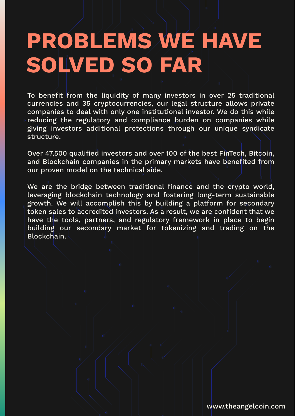#### **PROBLEMS WE HAVE SOLVED SO FAR**

To benefit from the liquidity of many investors in over 25 traditional currencies and 35 cryptocurrencies, our legal structure allows private companies to deal with only one institutional investor. We do this while reducing the regulatory and compliance burden on companies while giving investors additional protections through our unique syndicate structure.

Over 47,500 qualified investors and over 100 of the best FinTech, Bitcoin, and Blockchain companies in the primary markets have benefited from our proven model on the technical side.

We are the bridge between traditional finance and the crypto world, leveraging blockchain technology and fostering long-term sustainable growth. We will accomplish this by building a platform for secondary token sales to accredited investors. As a result, we are confident that we have the tools, partners, and regulatory framework in place to begin building our secondary market for tokenizing and trading on the Blockchain.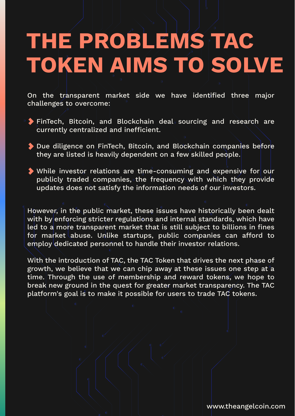#### **THE PROBLEMS TAC TOKEN AIMS TO SOLVE**

On the transparent market side we have identified three major challenges to overcome:

- FinTech, Bitcoin, and Blockchain deal sourcing and research are currently centralized and inefficient.
- Due diligence on FinTech, Bitcoin, and Blockchain companies before they are listed is heavily dependent on a few skilled people.
- While investor relations are time-consuming and expensive for our publicly traded companies, the frequency with which they provide updates does not satisfy the information needs of our investors.

However, in the public market, these issues have historically been dealt with by enforcing stricter regulations and internal standards, which have led to a more transparent market that is still subject to billions in fines for market abuse. Unlike startups, public companies can afford to employ dedicated personnel to handle their investor relations.

With the introduction of TAC, the TAC Token that drives the next phase of growth, we believe that we can chip away at these issues one step at a time. Through the use of membership and reward tokens, we hope to break new ground in the quest for greater market transparency. The TAC platform's goal is to make it possible for users to trade TAC tokens.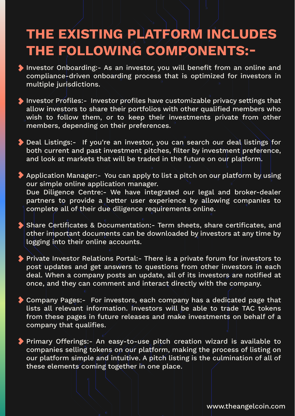#### **THE EXISTING PLATFORM INCLUDES THE FOLLOWING COMPONENTS:-**

- Investor Onboarding:- As an investor, you will benefit from an online and compliance-driven onboarding process that is optimized for investors in multiple jurisdictions.
- Investor Profiles:- Investor profiles have customizable privacy settings that allow investors to share their portfolios with other qualified members who wish to follow them, or to keep their investments private from other members, depending on their preferences.
- Deal Listings:- If you're an investor, you can search our deal listings for both current and past investment pitches, filter by investment preference, and look at markets that will be traded in the future on our platform.
- Application Manager:- You can apply to list a pitch on our platform by using our simple online application manager. Due Diligence Centre:- We have integrated our legal and broker-dealer partners to provide a better user experience by allowing companies to complete all of their due diligence requirements online.
- Share Certificates & Documentation:- Term sheets, share certificates, and other important documents can be downloaded by investors at any time by logging into their online accounts.
- Private Investor Relations Portal:- There is a private forum for investors to post updates and get answers to questions from other investors in each deal. When a company posts an update, all of its investors are notified at once, and they can comment and interact directly with the company.
- Company Pages:- For investors, each company has a dedicated page that lists all relevant information. Investors will be able to trade TAC tokens from these pages in future releases and make investments on behalf of a company that qualifies.
- Primary Offerings:- An easy-to-use pitch creation wizard is available to companies selling tokens on our platform, making the process of listing on our platform simple and intuitive. A pitch listing is the culmination of all of these elements coming together in one place.

www.theangelcoin.com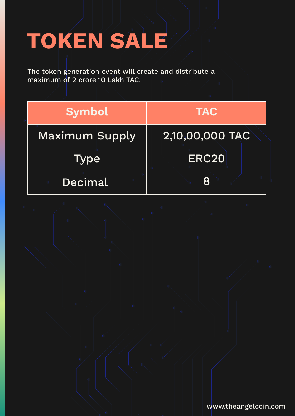# **TOKEN SALE**

The token generation event will create and distribute a maximum of 2 crore 10 Lakh TAC.

| <b>Symbol</b>         | <b>TAC</b>      |
|-----------------------|-----------------|
| <b>Maximum Supply</b> | 2,10,00,000 TAC |
| Type                  | <b>ERC20</b>    |
| Decimal               | R               |

www.theangelcoin.com